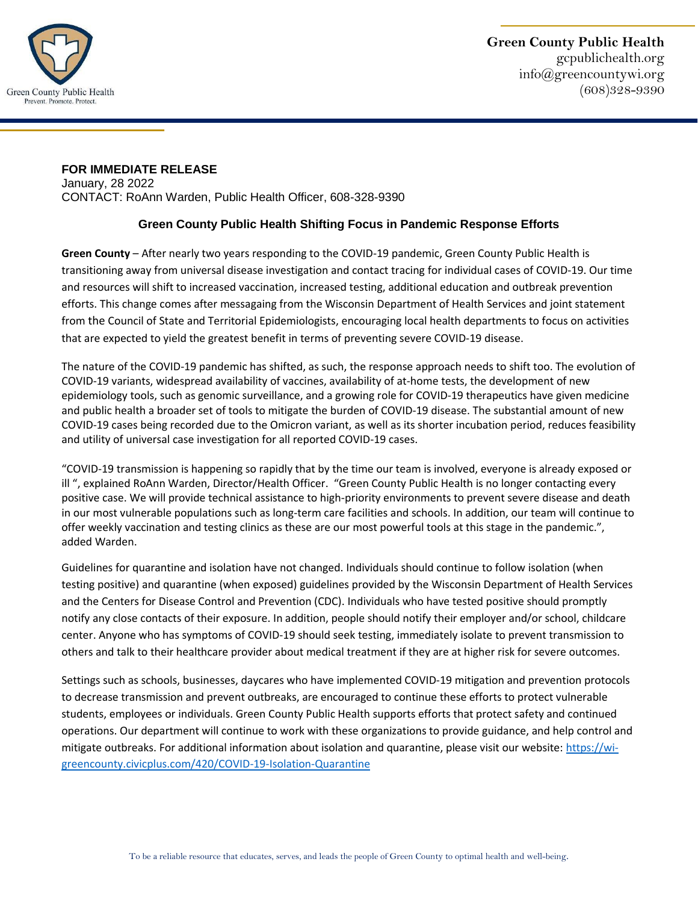

## **FOR IMMEDIATE RELEASE**

January, 28 2022 CONTACT: RoAnn Warden, Public Health Officer, 608-328-9390

## **Green County Public Health Shifting Focus in Pandemic Response Efforts**

**Green County** – After nearly two years responding to the COVID-19 pandemic, Green County Public Health is transitioning away from universal disease investigation and contact tracing for individual cases of COVID-19. Our time and resources will shift to increased vaccination, increased testing, additional education and outbreak prevention efforts. This change comes after messagaing from the Wisconsin Department of Health Services and joint statement from the Council of State and Territorial Epidemiologists, encouraging local health departments to focus on activities that are expected to yield the greatest benefit in terms of preventing severe COVID-19 disease.

The nature of the COVID-19 pandemic has shifted, as such, the response approach needs to shift too. The evolution of COVID-19 variants, widespread availability of vaccines, availability of at-home tests, the development of new epidemiology tools, such as genomic surveillance, and a growing role for COVID-19 therapeutics have given medicine and public health a broader set of tools to mitigate the burden of COVID-19 disease. The substantial amount of new COVID-19 cases being recorded due to the Omicron variant, as well as its shorter incubation period, reduces feasibility and utility of universal case investigation for all reported COVID-19 cases.

"COVID-19 transmission is happening so rapidly that by the time our team is involved, everyone is already exposed or ill ", explained RoAnn Warden, Director/Health Officer. "Green County Public Health is no longer contacting every positive case. We will provide technical assistance to high-priority environments to prevent severe disease and death in our most vulnerable populations such as long-term care facilities and schools. In addition, our team will continue to offer weekly vaccination and testing clinics as these are our most powerful tools at this stage in the pandemic.", added Warden.

Guidelines for quarantine and isolation have not changed. Individuals should continue to follow isolation (when testing positive) and quarantine (when exposed) guidelines provided by the Wisconsin Department of Health Services and the Centers for Disease Control and Prevention (CDC). Individuals who have tested positive should promptly notify any close contacts of their exposure. In addition, people should notify their employer and/or school, childcare center. Anyone who has symptoms of COVID-19 should seek testing, immediately isolate to prevent transmission to others and talk to their healthcare provider about medical treatment if they are at higher risk for severe outcomes.

Settings such as schools, businesses, daycares who have implemented COVID-19 mitigation and prevention protocols to decrease transmission and prevent outbreaks, are encouraged to continue these efforts to protect vulnerable students, employees or individuals. Green County Public Health supports efforts that protect safety and continued operations. Our department will continue to work with these organizations to provide guidance, and help control and mitigate outbreaks. For additional information about isolation and quarantine, please visit our website[: https://wi](https://wi-greencounty.civicplus.com/420/COVID-19-Isolation-Quarantine)[greencounty.civicplus.com/420/COVID-19-Isolation-Quarantine](https://wi-greencounty.civicplus.com/420/COVID-19-Isolation-Quarantine)